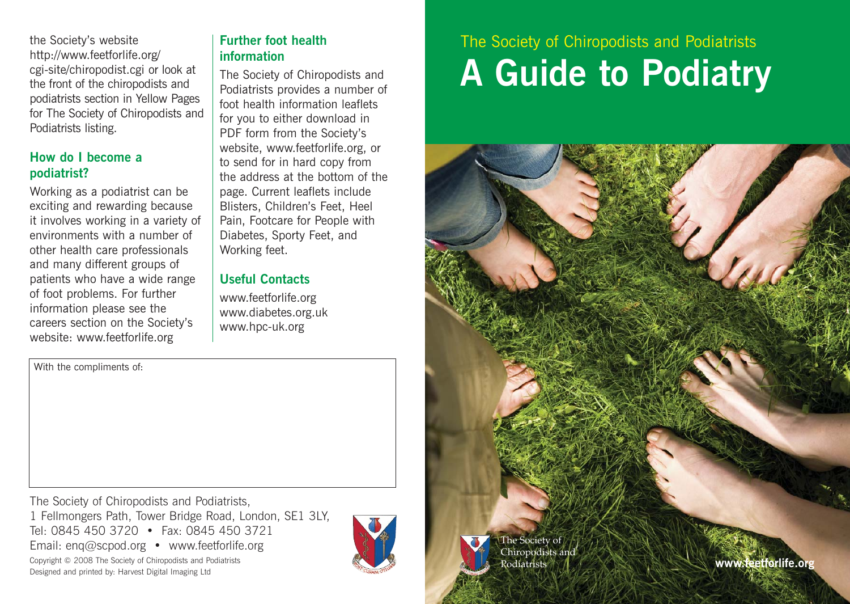the Society's website http://www.feetforlife.org/ cgi-site/chiropodist.cgi or look at the front of the chiropodists and podiatrists section in Yellow Pages for The Society of Chiropodists and Podiatrists listing.

### **How do I become a podiatrist?**

With the compliments of:

Working as a podiatrist can be exciting and rewarding because it involves working in a variety of environments with a number of other health care professionals and many different groups of patients who have a wide range of foot problems. For further information please see the careers section on the Society's website: www.feetforlife.org

### **Further foot health information**

The Society of Chiropodists and Podiatrists provides a number of foot health information leaflets for you to either download in PDF form from the Society's website, www.feetforlife.org, or to send for in hard copy from the address at the bottom of the page. Current leaflets include Blisters, Children's Feet, Heel Pain, Footcare for People with Diabetes, Sporty Feet, and Working feet.

### **Useful Contacts**

www.feetforlife.org www.diabetes.org.uk www.hpc-uk.org

The Society of Chiropodists and Podiatrists, 1 Fellmongers Path, Tower Bridge Road, London, SE1 3LY, Tel: 0845 450 3720 • Fax: 0845 450 3721 Email: enq@scpod.org • www.feetforlife.org Copyright © 2008 The Society of Chiropodists and Podiatrists



# The Society of Chiropodists and Podiatrists **A Guide to Podiatry**